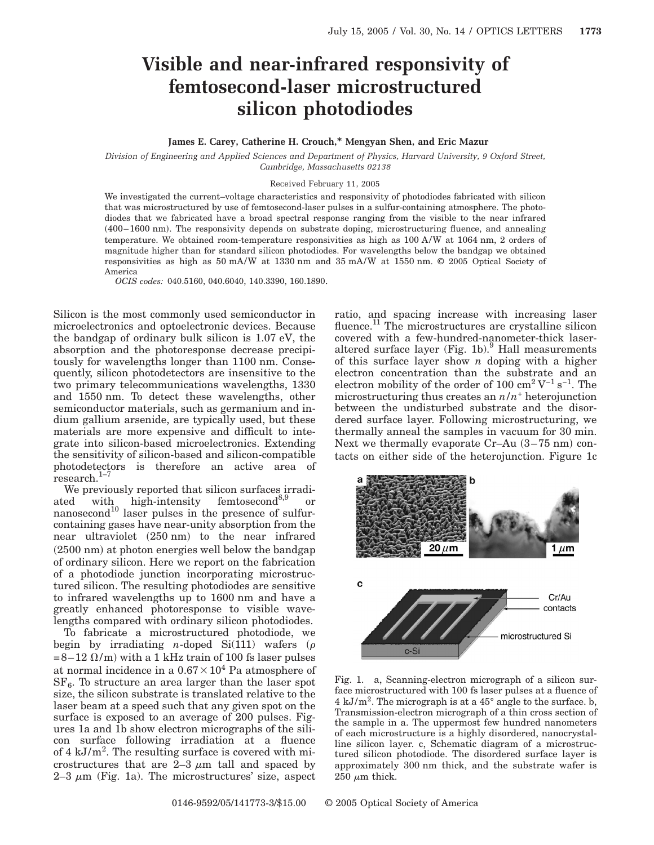## **Visible and near-infrared responsivity of femtosecond-laser microstructured silicon photodiodes**

## **James E. Carey, Catherine H. Crouch,\* Mengyan Shen, and Eric Mazur**

*Division of Engineering and Applied Sciences and Department of Physics, Harvard University, 9 Oxford Street, Cambridge, Massachusetts 02138*

## Received February 11, 2005

We investigated the current–voltage characteristics and responsivity of photodiodes fabricated with silicon that was microstructured by use of femtosecond-laser pulses in a sulfur-containing atmosphere. The photodiodes that we fabricated have a broad spectral response ranging from the visible to the near infrared s400–1600 nmd. The responsivity depends on substrate doping, microstructuring fluence, and annealing temperature. We obtained room-temperature responsivities as high as 100 A/W at 1064 nm, 2 orders of magnitude higher than for standard silicon photodiodes. For wavelengths below the bandgap we obtained responsivities as high as 50 mA/W at 1330 nm and 35 mA/W at 1550 nm. © 2005 Optical Society of America

*OCIS codes:* 040.5160, 040.6040, 140.3390, 160.1890.

Silicon is the most commonly used semiconductor in microelectronics and optoelectronic devices. Because the bandgap of ordinary bulk silicon is 1.07 eV, the absorption and the photoresponse decrease precipitously for wavelengths longer than 1100 nm. Consequently, silicon photodetectors are insensitive to the two primary telecommunications wavelengths, 1330 and 1550 nm. To detect these wavelengths, other semiconductor materials, such as germanium and indium gallium arsenide, are typically used, but these materials are more expensive and difficult to integrate into silicon-based microelectronics. Extending the sensitivity of silicon-based and silicon-compatible photodetectors is therefore an active area of research. $1-\overline{7}$ 

We previously reported that silicon surfaces irradiated with high-intensity femtosecond<sup>8,9</sup> or nanosecond<sup>10</sup> laser pulses in the presence of sulfurcontaining gases have near-unity absorption from the near ultraviolet  $(250 \text{ nm})$  to the near infrared  $(2500 \text{ nm})$  at photon energies well below the bandgap of ordinary silicon. Here we report on the fabrication of a photodiode junction incorporating microstructured silicon. The resulting photodiodes are sensitive to infrared wavelengths up to 1600 nm and have a greatly enhanced photoresponse to visible wavelengths compared with ordinary silicon photodiodes.

To fabricate a microstructured photodiode, we begin by irradiating *n*-doped Si(111) wafers ( $\rho$  $=8-12 \Omega/m$  with a 1 kHz train of 100 fs laser pulses at normal incidence in a  $0.67\times10^4$  Pa atmosphere of  $SF<sub>6</sub>$ . To structure an area larger than the laser spot size, the silicon substrate is translated relative to the laser beam at a speed such that any given spot on the surface is exposed to an average of 200 pulses. Figures 1a and 1b show electron micrographs of the silicon surface following irradiation at a fluence of  $4 \text{ kJ/m}^2$ . The resulting surface is covered with microstructures that are  $2-3 \mu m$  tall and spaced by  $2-3 \mu m$  (Fig. 1a). The microstructures' size, aspect

ratio, and spacing increase with increasing laser fluence.<sup>11</sup> The microstructures are crystalline silicon covered with a few-hundred-nanometer-thick laseraltered surface layer (Fig. 1b). $^{9}$  Hall measurements of this surface layer show *n* doping with a higher electron concentration than the substrate and an electron mobility of the order of 100  $\text{cm}^2\,\text{V}^{-1}\,\text{s}^{-1}$ . The microstructuring thus creates an *n*/*n*<sup>+</sup> heterojunction between the undisturbed substrate and the disordered surface layer. Following microstructuring, we thermally anneal the samples in vacuum for 30 min. Next we thermally evaporate Cr–Au  $(3-75 \text{ nm})$  contacts on either side of the heterojunction. Figure 1c



Fig. 1. a, Scanning-electron micrograph of a silicon surface microstructured with 100 fs laser pulses at a fluence of  $4 \text{ kJ/m}^2$ . The micrograph is at a  $45^{\circ}$  angle to the surface. b, Transmission-electron micrograph of a thin cross section of the sample in a. The uppermost few hundred nanometers of each microstructure is a highly disordered, nanocrystalline silicon layer. c, Schematic diagram of a microstructured silicon photodiode. The disordered surface layer is approximately 300 nm thick, and the substrate wafer is  $250 \mu m$  thick.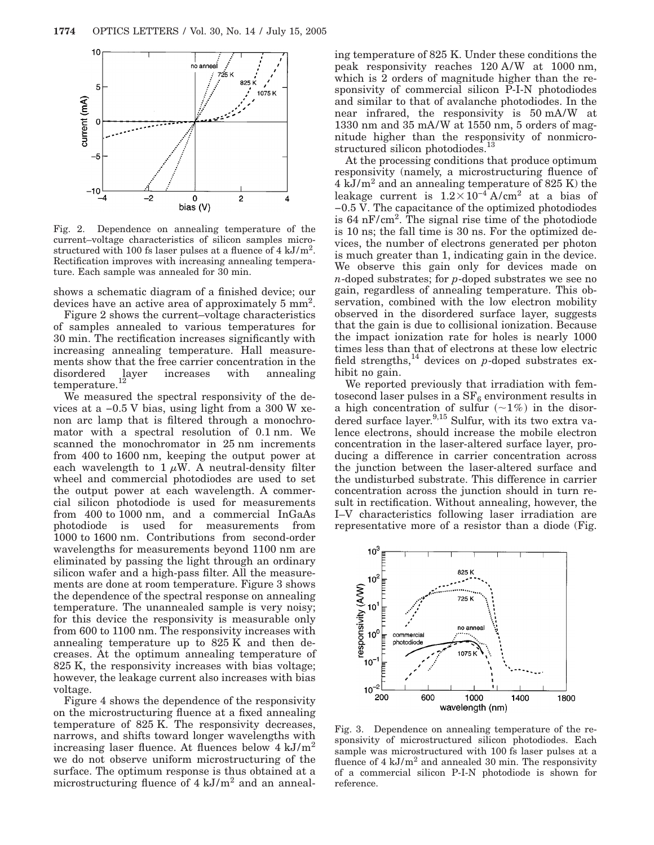

Fig. 2. Dependence on annealing temperature of the current–voltage characteristics of silicon samples microstructured with 100 fs laser pulses at a fluence of  $4 \text{ kJ/m}^2$ . Rectification improves with increasing annealing temperature. Each sample was annealed for 30 min.

shows a schematic diagram of a finished device; our devices have an active area of approximately 5 mm2.

Figure 2 shows the current–voltage characteristics of samples annealed to various temperatures for 30 min. The rectification increases significantly with increasing annealing temperature. Hall measurements show that the free carrier concentration in the disordered layer increases with annealing  $t$ emperature.<sup>12</sup>

We measured the spectral responsivity of the devices at a −0.5 V bias, using light from a 300 W xenon arc lamp that is filtered through a monochromator with a spectral resolution of 0.1 nm. We scanned the monochromator in 25 nm increments from 400 to 1600 nm, keeping the output power at each wavelength to  $1 \mu W$ . A neutral-density filter wheel and commercial photodiodes are used to set the output power at each wavelength. A commercial silicon photodiode is used for measurements from 400 to 1000 nm, and a commercial InGaAs photodiode is used for measurements from 1000 to 1600 nm. Contributions from second-order wavelengths for measurements beyond 1100 nm are eliminated by passing the light through an ordinary silicon wafer and a high-pass filter. All the measurements are done at room temperature. Figure 3 shows the dependence of the spectral response on annealing temperature. The unannealed sample is very noisy; for this device the responsivity is measurable only from 600 to 1100 nm. The responsivity increases with annealing temperature up to 825 K and then decreases. At the optimum annealing temperature of 825 K, the responsivity increases with bias voltage; however, the leakage current also increases with bias voltage.

Figure 4 shows the dependence of the responsivity on the microstructuring fluence at a fixed annealing temperature of 825 K. The responsivity decreases, narrows, and shifts toward longer wavelengths with increasing laser fluence. At fluences below  $4 \text{ kJ/m}^2$ we do not observe uniform microstructuring of the surface. The optimum response is thus obtained at a microstructuring fluence of  $4 \text{ kJ/m}^2$  and an annealing temperature of 825 K. Under these conditions the peak responsivity reaches 120 A/W at 1000 nm, which is 2 orders of magnitude higher than the responsivity of commercial silicon P-I-N photodiodes and similar to that of avalanche photodiodes. In the near infrared, the responsivity is 50 mA/W at 1330 nm and 35 mA/W at 1550 nm, 5 orders of magnitude higher than the responsivity of nonmicrostructured silicon photodiodes.<sup>13</sup>

At the processing conditions that produce optimum responsivity (namely, a microstructuring fluence of  $4 \text{ kJ/m}^2$  and an annealing temperature of 825 K) the leakage current is  $1.2 \times 10^{-4}$  A/cm<sup>2</sup> at a bias of −0.5 V. The capacitance of the optimized photodiodes is  $64 \text{ nF/cm}^2$ . The signal rise time of the photodiode is 10 ns; the fall time is 30 ns. For the optimized devices, the number of electrons generated per photon is much greater than 1, indicating gain in the device. We observe this gain only for devices made on *n*-doped substrates; for *p*-doped substrates we see no gain, regardless of annealing temperature. This observation, combined with the low electron mobility observed in the disordered surface layer, suggests that the gain is due to collisional ionization. Because the impact ionization rate for holes is nearly 1000 times less than that of electrons at these low electric field strengths,<sup>14</sup> devices on *p*-doped substrates exhibit no gain.

We reported previously that irradiation with femtosecond laser pulses in a  $SF_6$  environment results in a high concentration of sulfur  $(21\%)$  in the disordered surface layer.<sup>9,15</sup> Sulfur, with its two extra valence electrons, should increase the mobile electron concentration in the laser-altered surface layer, producing a difference in carrier concentration across the junction between the laser-altered surface and the undisturbed substrate. This difference in carrier concentration across the junction should in turn result in rectification. Without annealing, however, the I–V characteristics following laser irradiation are representative more of a resistor than a diode (Fig.



Fig. 3. Dependence on annealing temperature of the responsivity of microstructured silicon photodiodes. Each sample was microstructured with 100 fs laser pulses at a fluence of  $4 \text{ kJ/m}^2$  and annealed 30 min. The responsivity of a commercial silicon P-I-N photodiode is shown for reference.